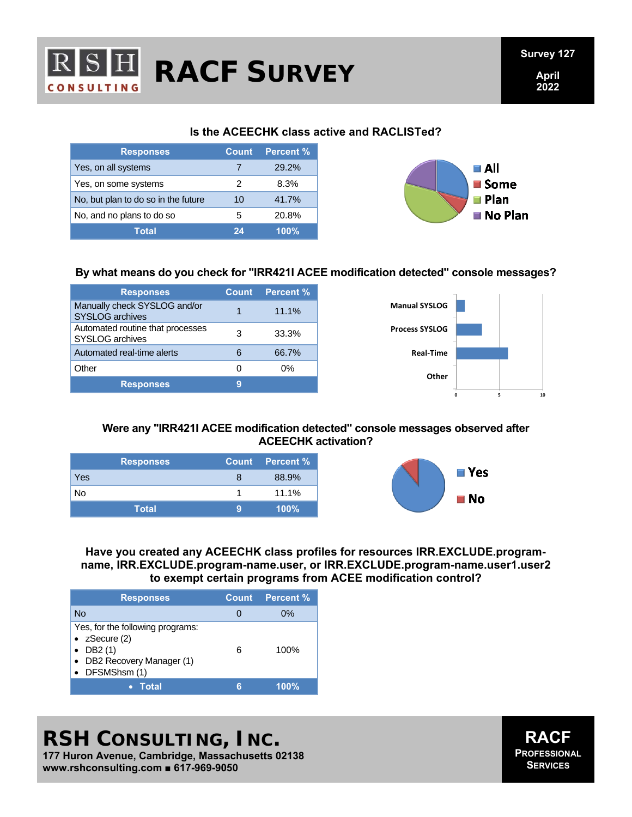

# **RACF SURVEY**

### **Is the ACEECHK class active and RACLISTed?**

| <b>Responses</b>                    | <b>Count</b> | Percent % |
|-------------------------------------|--------------|-----------|
| Yes, on all systems                 |              | 29.2%     |
| Yes, on some systems                |              | 8.3%      |
| No, but plan to do so in the future | 10           | 41.7%     |
| No, and no plans to do so           | 5            | 20.8%     |
| Total                               | 24           | 100%      |



### **By what means do you check for "IRR421I ACEE modification detected" console messages?**

| <b>Responses</b>                                       | <b>Count</b> | <b>Percent %</b> |
|--------------------------------------------------------|--------------|------------------|
| Manually check SYSLOG and/or<br><b>SYSLOG archives</b> |              | 11.1%            |
| Automated routine that processes<br>SYSLOG archives    | з            | 33.3%            |
| Automated real-time alerts                             | 6            | 66.7%            |
| Other                                                  | $\Omega$     | 0%               |
| <b>Responses</b>                                       | g            |                  |



### **Were any "IRR421I ACEE modification detected" console messages observed after ACEECHK activation?**

| <b>Responses</b> |   | Count Percent % |
|------------------|---|-----------------|
| Yes              | 8 | 88.9%           |
| No               |   | 11.1%           |
| <b>Total</b>     | 9 | $100\%$         |



**Have you created any ACEECHK class profiles for resources IRR.EXCLUDE.programname, IRR.EXCLUDE.program-name.user, or IRR.EXCLUDE.program-name.user1.user2 to exempt certain programs from ACEE modification control?** 

| <b>Responses</b>                                                                                                            |   | Count Percent % |
|-----------------------------------------------------------------------------------------------------------------------------|---|-----------------|
| No                                                                                                                          |   | $0\%$           |
| Yes, for the following programs:<br>• $z$ Secure $(2)$<br>DB <sub>2</sub> (1)<br>• DB2 Recovery Manager (1)<br>DFSMShsm (1) | 6 | 100%            |
| <b>Total</b>                                                                                                                | F | 100%            |

### **RSH CONSULTING, INC.**

**177 Huron Avenue, Cambridge, Massachusetts 02138 www.rshconsulting.com ■ 617-969-9050**